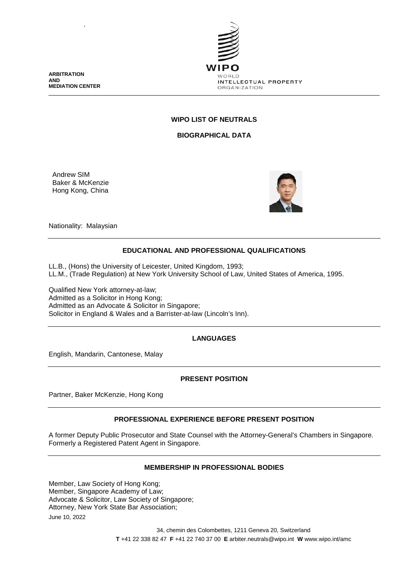**ARBITRATION AND MEDIATION CENTER**

.



## **WIPO LIST OF NEUTRALS**

**BIOGRAPHICAL DATA**

Andrew SIM Baker & McKenzie Hong Kong, China



Nationality: Malaysian

## **EDUCATIONAL AND PROFESSIONAL QUALIFICATIONS**

LL.B., (Hons) the University of Leicester, United Kingdom, 1993; LL.M., (Trade Regulation) at New York University School of Law, United States of America, 1995.

Qualified New York attorney-at-law; Admitted as a Solicitor in Hong Kong; Admitted as an Advocate & Solicitor in Singapore; Solicitor in England & Wales and a Barrister-at-law (Lincoln's Inn).

# **LANGUAGES**

English, Mandarin, Cantonese, Malay

## **PRESENT POSITION**

Partner, Baker McKenzie, Hong Kong

### **PROFESSIONAL EXPERIENCE BEFORE PRESENT POSITION**

A former Deputy Public Prosecutor and State Counsel with the Attorney-General's Chambers in Singapore. Formerly a Registered Patent Agent in Singapore.

### **MEMBERSHIP IN PROFESSIONAL BODIES**

June 10, 2022 Member, Law Society of Hong Kong; Member, Singapore Academy of Law; Advocate & Solicitor, Law Society of Singapore; Attorney, New York State Bar Association;

> 34, chemin des Colombettes, 1211 Geneva 20, Switzerland **T** +41 22 338 82 47 **F** +41 22 740 37 00 **E** arbiter.neutrals@wipo.int **W** www.wipo.int/amc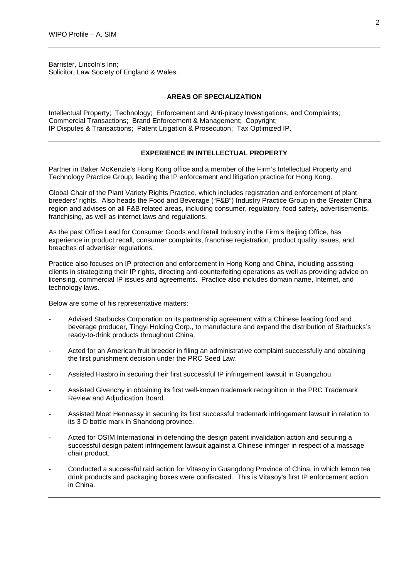Barrister, Lincoln's Inn; Solicitor, Law Society of England & Wales.

## **AREAS OF SPECIALIZATION**

Intellectual Property; Technology; Enforcement and Anti-piracy Investigations, and Complaints; Commercial Transactions; Brand Enforcement & Management; Copyright; IP Disputes & Transactions; Patent Litigation & Prosecution; Tax Optimized IP.

### **EXPERIENCE IN INTELLECTUAL PROPERTY**

Partner in Baker McKenzie's Hong Kong office and a member of the Firm's Intellectual Property and Technology Practice Group, leading the IP enforcement and litigation practice for Hong Kong.

Global Chair of the Plant Variety Rights Practice, which includes registration and enforcement of plant breeders' rights. Also heads the Food and Beverage ("F&B") Industry Practice Group in the Greater China region and advises on all F&B related areas, including consumer, regulatory, food safety, advertisements, franchising, as well as internet laws and regulations.

As the past Office Lead for Consumer Goods and Retail Industry in the Firm's Beijing Office, has experience in product recall, consumer complaints, franchise registration, product quality issues, and breaches of advertiser regulations.

Practice also focuses on IP protection and enforcement in Hong Kong and China, including assisting clients in strategizing their IP rights, directing anti-counterfeiting operations as well as providing advice on licensing, commercial IP issues and agreements. Practice also includes domain name, Internet, and technology laws.

Below are some of his representative matters:

- Advised Starbucks Corporation on its partnership agreement with a Chinese leading food and beverage producer, Tingyi Holding Corp., to manufacture and expand the distribution of Starbucks's ready-to-drink products throughout China.
- Acted for an American fruit breeder in filing an administrative complaint successfully and obtaining the first punishment decision under the PRC Seed Law.
- Assisted Hasbro in securing their first successful IP infringement lawsuit in Guangzhou.
- Assisted Givenchy in obtaining its first well-known trademark recognition in the PRC Trademark Review and Adjudication Board.
- Assisted Moet Hennessy in securing its first successful trademark infringement lawsuit in relation to its 3-D bottle mark in Shandong province.
- Acted for OSIM International in defending the design patent invalidation action and securing a successful design patent infringement lawsuit against a Chinese infringer in respect of a massage chair product.
- Conducted a successful raid action for Vitasoy in Guangdong Province of China, in which lemon tea drink products and packaging boxes were confiscated. This is Vitasoy's first IP enforcement action in China.